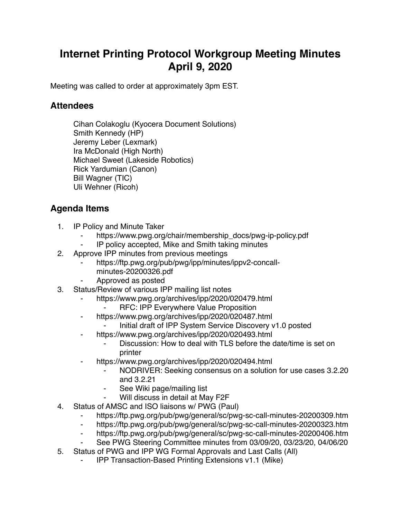## **Internet Printing Protocol Workgroup Meeting Minutes April 9, 2020**

Meeting was called to order at approximately 3pm EST.

## **Attendees**

Cihan Colakoglu (Kyocera Document Solutions) Smith Kennedy (HP) Jeremy Leber (Lexmark) Ira McDonald (High North) Michael Sweet (Lakeside Robotics) Rick Yardumian (Canon) Bill Wagner (TIC) Uli Wehner (Ricoh)

## **Agenda Items**

- 1. IP Policy and Minute Taker
	- https://www.pwg.org/chair/membership\_docs/pwg-ip-policy.pdf
	- IP policy accepted, Mike and Smith taking minutes
- 2. Approve IPP minutes from previous meetings
	- https://ftp.pwg.org/pub/pwg/ipp/minutes/ippv2-concall
		- minutes-20200326.pdf
	- ⁃ Approved as posted
- 3. Status/Review of various IPP mailing list notes
	- https://www.pwg.org/archives/ipp/2020/020479.html
		- **RFC: IPP Everywhere Value Proposition**
	- ⁃ https://www.pwg.org/archives/ipp/2020/020487.html
		- Initial draft of IPP System Service Discovery v1.0 posted
	- https://www.pwg.org/archives/ipp/2020/020493.html
		- Discussion: How to deal with TLS before the date/time is set on printer
	- https://www.pwg.org/archives/ipp/2020/020494.html
		- NODRIVER: Seeking consensus on a solution for use cases 3.2.20 and 3.2.21
		- ⁃ See Wiki page/mailing list
		- Will discuss in detail at May F2F
- 4. Status of AMSC and ISO liaisons w/ PWG (Paul)
	- https://ftp.pwg.org/pub/pwg/general/sc/pwg-sc-call-minutes-20200309.htm
	- ⁃ https://ftp.pwg.org/pub/pwg/general/sc/pwg-sc-call-minutes-20200323.htm
	- ⁃ https://ftp.pwg.org/pub/pwg/general/sc/pwg-sc-call-minutes-20200406.htm
	- See PWG Steering Committee minutes from 03/09/20, 03/23/20, 04/06/20
- 5. Status of PWG and IPP WG Formal Approvals and Last Calls (All)
	- ⁃ IPP Transaction-Based Printing Extensions v1.1 (Mike)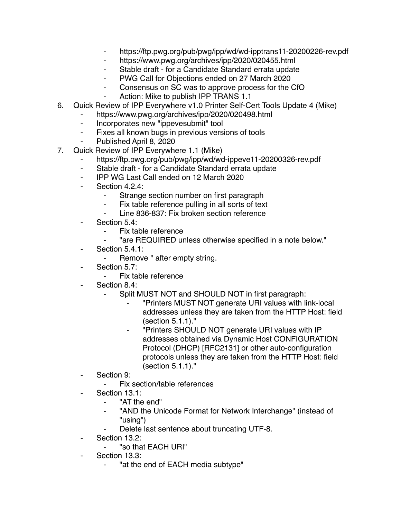- https://ftp.pwg.org/pub/pwg/ipp/wd/wd-ipptrans11-20200226-rev.pdf
- ⁃ https://www.pwg.org/archives/ipp/2020/020455.html
- Stable draft for a Candidate Standard errata update
- ⁃ PWG Call for Objections ended on 27 March 2020
- ⁃ Consensus on SC was to approve process for the CfO
- Action: Mike to publish IPP TRANS 1.1
- 6. Quick Review of IPP Everywhere v1.0 Printer Self-Cert Tools Update 4 (Mike)
	- https://www.pwg.org/archives/ipp/2020/020498.html
		- ⁃ Incorporates new "ippevesubmit" tool
		- ⁃ Fixes all known bugs in previous versions of tools
	- Published April 8, 2020
- 7. Quick Review of IPP Everywhere 1.1 (Mike)
	- https://ftp.pwg.org/pub/pwg/ipp/wd/wd-ippeve11-20200326-rev.pdf
	- ⁃ Stable draft for a Candidate Standard errata update
	- ⁃ IPP WG Last Call ended on 12 March 2020
	- Section 4.2.4:
		- ⁃ Strange section number on first paragraph
		- Fix table reference pulling in all sorts of text
		- Line 836-837: Fix broken section reference
	- Section 5.4:
		- Fix table reference
		- ⁃ "are REQUIRED unless otherwise specified in a note below."
	- Section 5.4.1:
		- Remove " after empty string.
	- Section 5.7:
		- Fix table reference
	- Section 8.4:
		- Split MUST NOT and SHOULD NOT in first paragraph:
			- ⁃ "Printers MUST NOT generate URI values with link-local addresses unless they are taken from the HTTP Host: field (section 5.1.1)."
			- ⁃ "Printers SHOULD NOT generate URI values with IP addresses obtained via Dynamic Host CONFIGURATION Protocol (DHCP) [RFC2131] or other auto-configuration protocols unless they are taken from the HTTP Host: field (section 5.1.1)."
	- Section 9:
		- ⁃ Fix section/table references
	- Section 13.1:
		- "AT the end"
		- "AND the Unicode Format for Network Interchange" (instead of "using")
		- Delete last sentence about truncating UTF-8.
	- Section 13.2:
		- "so that EACH URI"
	- Section 13.3:
		- "at the end of EACH media subtype"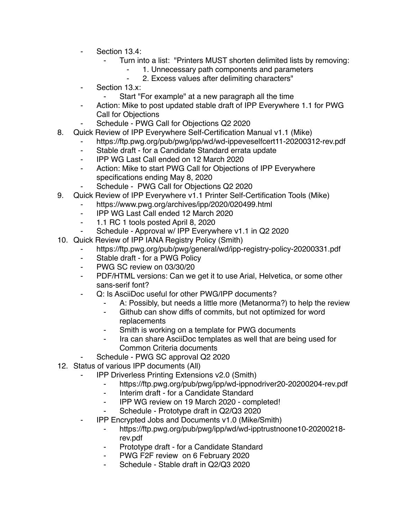- Section 13.4:
	- Turn into a list: "Printers MUST shorten delimited lists by removing:
		- ⁃ 1. Unnecessary path components and parameters
		- ⁃ 2. Excess values after delimiting characters"
- Section 13.x:
	- Start "For example" at a new paragraph all the time
- Action: Mike to post updated stable draft of IPP Everywhere 1.1 for PWG Call for Objections
- Schedule PWG Call for Objections Q2 2020
- 8. Quick Review of IPP Everywhere Self-Certification Manual v1.1 (Mike)
	- https://ftp.pwg.org/pub/pwg/ipp/wd/wd-ippeveselfcert11-20200312-rev.pdf
	- ⁃ Stable draft for a Candidate Standard errata update
	- ⁃ IPP WG Last Call ended on 12 March 2020
	- ⁃ Action: Mike to start PWG Call for Objections of IPP Everywhere specifications ending May 8, 2020
	- Schedule PWG Call for Objections Q2 2020
- 9. Quick Review of IPP Everywhere v1.1 Printer Self-Certification Tools (Mike)
	- https://www.pwg.org/archives/ipp/2020/020499.html
		- ⁃ IPP WG Last Call ended 12 March 2020
		- ⁃ 1.1 RC 1 tools posted April 8, 2020
		- Schedule Approval w/ IPP Everywhere v1.1 in Q2 2020
- 10. Quick Review of IPP IANA Registry Policy (Smith)
	- https://ftp.pwg.org/pub/pwg/general/wd/ipp-registry-policy-20200331.pdf
	- ⁃ Stable draft for a PWG Policy
	- ⁃ PWG SC review on 03/30/20
	- ⁃ PDF/HTML versions: Can we get it to use Arial, Helvetica, or some other sans-serif font?
	- Q: Is AsciiDoc useful for other PWG/IPP documents?
		- A: Possibly, but needs a little more (Metanorma?) to help the review
		- ⁃ Github can show diffs of commits, but not optimized for word replacements
		- ⁃ Smith is working on a template for PWG documents
		- Ira can share AsciiDoc templates as well that are being used for Common Criteria documents
	- Schedule PWG SC approval Q2 2020
- 12. Status of various IPP documents (All)
	- **IPP Driverless Printing Extensions v2.0 (Smith)** 
		- ⁃ https://ftp.pwg.org/pub/pwg/ipp/wd-ippnodriver20-20200204-rev.pdf
		- ⁃ Interim draft for a Candidate Standard
		- ⁃ IPP WG review on 19 March 2020 completed!
		- Schedule Prototype draft in Q2/Q3 2020
	- ⁃ IPP Encrypted Jobs and Documents v1.0 (Mike/Smith)
		- ⁃ https://ftp.pwg.org/pub/pwg/ipp/wd/wd-ipptrustnoone10-20200218 rev.pdf
		- Prototype draft for a Candidate Standard
		- PWG F2F review on 6 February 2020
		- Schedule Stable draft in Q2/Q3 2020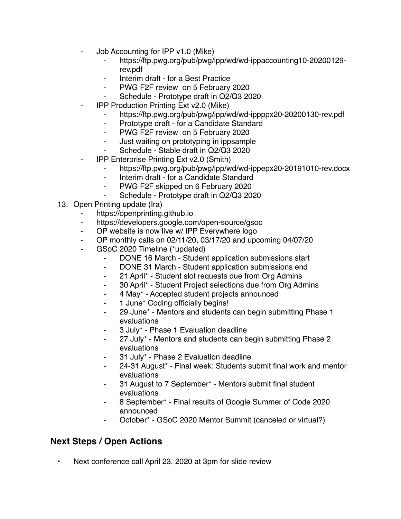- Job Accounting for IPP v1.0 (Mike)
	- ⁃ https://ftp.pwg.org/pub/pwg/ipp/wd/wd-ippaccounting10-20200129 rev.pdf
	- Interim draft for a Best Practice
	- ⁃ PWG F2F review on 5 February 2020
	- Schedule Prototype draft in Q2/Q3 2020
	- **IPP Production Printing Ext v2.0 (Mike)** 
		- ⁃ https://ftp.pwg.org/pub/pwg/ipp/wd/wd-ippppx20-20200130-rev.pdf
		- Prototype draft for a Candidate Standard
		- ⁃ PWG F2F review on 5 February 2020
		- ⁃ Just waiting on prototyping in ippsample
		- Schedule Stable draft in Q2/Q3 2020
- ⁃ IPP Enterprise Printing Ext v2.0 (Smith)
	- ⁃ https://ftp.pwg.org/pub/pwg/ipp/wd/wd-ippepx20-20191010-rev.docx
	- ⁃ Interim draft for a Candidate Standard
	- PWG F2F skipped on 6 February 2020
	- Schedule Prototype draft in Q2/Q3 2020
- 13. Open Printing update (Ira)
	- https://openprinting.github.io
	- ⁃ https://developers.google.com/open-source/gsoc
	- ⁃ OP website is now live w/ IPP Everywhere logo
	- ⁃ OP monthly calls on 02/11/20, 03/17/20 and upcoming 04/07/20
	- GSoC 2020 Timeline (\*updated)
		- ⁃ DONE 16 March Student application submissions start
		- ⁃ DONE 31 March Student application submissions end
		- ⁃ 21 April\* Student slot requests due from Org Admins
		- ⁃ 30 April\* Student Project selections due from Org Admins
		- ⁃ 4 May\* Accepted student projects announced
		- 1 June\* Coding officially begins!
		- ⁃ 29 June\* Mentors and students can begin submitting Phase 1 evaluations
		- ⁃ 3 July\* Phase 1 Evaluation deadline
		- 27 July\* Mentors and students can begin submitting Phase 2 evaluations
		- 31 July\* Phase 2 Evaluation deadline
		- 24-31 August\* Final week: Students submit final work and mentor evaluations
		- 31 August to 7 September\* Mentors submit final student evaluations
		- ⁃ 8 September\* Final results of Google Summer of Code 2020 announced
		- ⁃ October\* GSoC 2020 Mentor Summit (canceled or virtual?)

## **Next Steps / Open Actions**

• Next conference call April 23, 2020 at 3pm for slide review